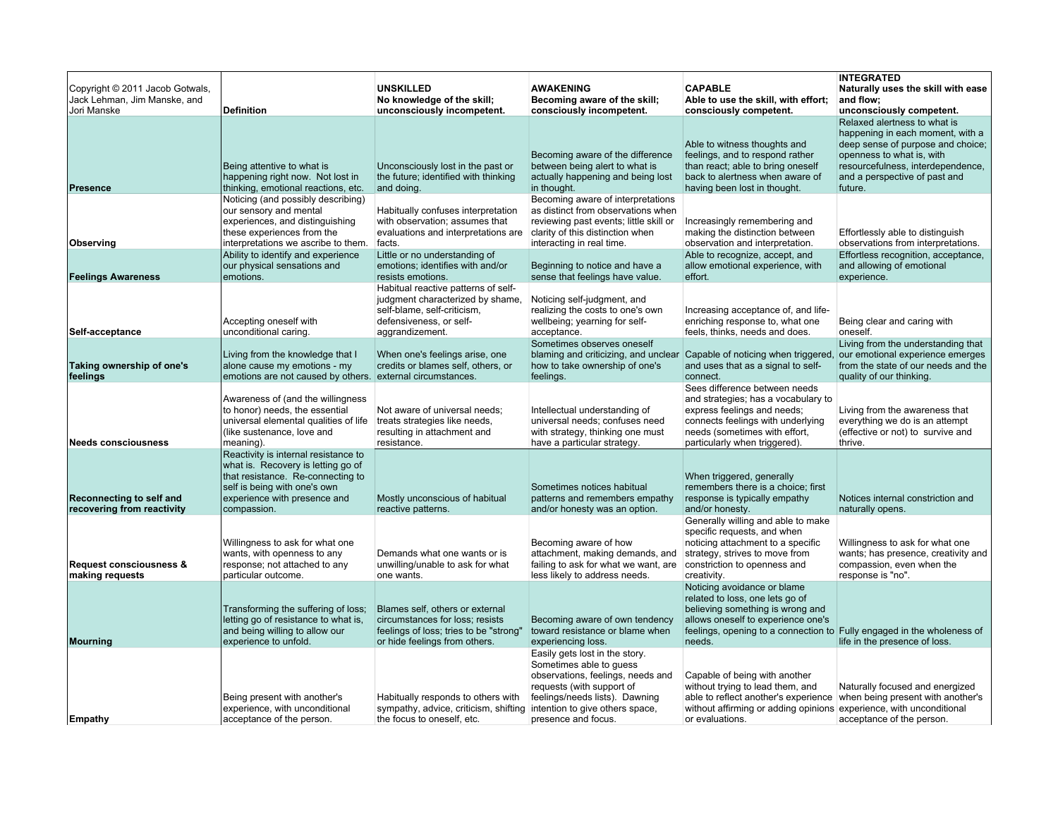| Copyright © 2011 Jacob Gotwals,<br>Jack Lehman, Jim Manske, and<br>Jori Manske | <b>Definition</b>                                                                                                                                                                                          | <b>UNSKILLED</b><br>No knowledge of the skill;<br>unconsciously incompetent.                                                                           | <b>AWAKENING</b><br>Becoming aware of the skill;<br>consciously incompetent.                                                                                                                                            | <b>CAPABLE</b><br>Able to use the skill, with effort;<br>consciously competent.                                                                                                                                              | <b>INTEGRATED</b><br>Naturally uses the skill with ease<br>and flow;<br>unconsciously competent.                                                                                                                    |
|--------------------------------------------------------------------------------|------------------------------------------------------------------------------------------------------------------------------------------------------------------------------------------------------------|--------------------------------------------------------------------------------------------------------------------------------------------------------|-------------------------------------------------------------------------------------------------------------------------------------------------------------------------------------------------------------------------|------------------------------------------------------------------------------------------------------------------------------------------------------------------------------------------------------------------------------|---------------------------------------------------------------------------------------------------------------------------------------------------------------------------------------------------------------------|
| Presence                                                                       | Being attentive to what is<br>happening right now. Not lost in<br>thinking, emotional reactions, etc.                                                                                                      | Unconsciously lost in the past or<br>the future; identified with thinking<br>and doing.                                                                | Becoming aware of the difference<br>between being alert to what is<br>actually happening and being lost<br>in thought.                                                                                                  | Able to witness thoughts and<br>feelings, and to respond rather<br>than react; able to bring oneself<br>back to alertness when aware of<br>having been lost in thought.                                                      | Relaxed alertness to what is<br>happening in each moment, with a<br>deep sense of purpose and choice;<br>openness to what is, with<br>resourcefulness, interdependence,<br>and a perspective of past and<br>future. |
| Observing                                                                      | Noticing (and possibly describing)<br>our sensory and mental<br>experiences, and distinguishing<br>these experiences from the<br>interpretations we ascribe to them.<br>Ability to identify and experience | Habitually confuses interpretation<br>with observation; assumes that<br>evaluations and interpretations are<br>facts.<br>Little or no understanding of | Becoming aware of interpretations<br>as distinct from observations when<br>reviewing past events; little skill or<br>clarity of this distinction when<br>interacting in real time.                                      | Increasingly remembering and<br>making the distinction between<br>observation and interpretation.<br>Able to recognize, accept, and                                                                                          | Effortlessly able to distinguish<br>observations from interpretations.<br>Effortless recognition, acceptance,                                                                                                       |
| <b>Feelings Awareness</b>                                                      | our physical sensations and<br>emotions.                                                                                                                                                                   | emotions; identifies with and/or<br>resists emotions.                                                                                                  | Beginning to notice and have a<br>sense that feelings have value.                                                                                                                                                       | allow emotional experience, with<br>effort.                                                                                                                                                                                  | and allowing of emotional<br>experience.                                                                                                                                                                            |
| Self-acceptance                                                                | Accepting oneself with<br>unconditional caring.                                                                                                                                                            | Habitual reactive patterns of self-<br>judgment characterized by shame,<br>self-blame, self-criticism,<br>defensiveness, or self-<br>aggrandizement.   | Noticing self-judgment, and<br>realizing the costs to one's own<br>wellbeing; yearning for self-<br>acceptance.                                                                                                         | Increasing acceptance of, and life-<br>enriching response to, what one<br>feels, thinks, needs and does.                                                                                                                     | Being clear and caring with<br>oneself.                                                                                                                                                                             |
| Taking ownership of one's<br>feelings                                          | Living from the knowledge that I<br>alone cause my emotions - my<br>emotions are not caused by others. external circumstances.                                                                             | When one's feelings arise, one<br>credits or blames self, others, or                                                                                   | Sometimes observes oneself<br>blaming and criticizing, and unclear<br>how to take ownership of one's<br>feelings.                                                                                                       | Capable of noticing when triggered,<br>and uses that as a signal to self-<br>connect.                                                                                                                                        | Living from the understanding that<br>our emotional experience emerges<br>from the state of our needs and the<br>quality of our thinking.                                                                           |
| <b>Needs consciousness</b>                                                     | Awareness of (and the willingness<br>to honor) needs, the essential<br>universal elemental qualities of life<br>(like sustenance, love and<br>meaning).                                                    | Not aware of universal needs;<br>treats strategies like needs,<br>resulting in attachment and<br>resistance.                                           | Intellectual understanding of<br>universal needs; confuses need<br>with strategy, thinking one must<br>have a particular strategy.                                                                                      | Sees difference between needs<br>and strategies; has a vocabulary to<br>express feelings and needs;<br>connects feelings with underlying<br>needs (sometimes with effort,<br>particularly when triggered).                   | Living from the awareness that<br>everything we do is an attempt<br>(effective or not) to survive and<br>thrive.                                                                                                    |
| Reconnecting to self and<br>recovering from reactivity                         | Reactivity is internal resistance to<br>what is. Recovery is letting go of<br>that resistance. Re-connecting to<br>self is being with one's own<br>experience with presence and<br>compassion.             | Mostly unconscious of habitual<br>reactive patterns.                                                                                                   | Sometimes notices habitual<br>patterns and remembers empathy<br>and/or honesty was an option.                                                                                                                           | When triggered, generally<br>remembers there is a choice; first<br>response is typically empathy<br>and/or honesty.                                                                                                          | Notices internal constriction and<br>naturally opens.                                                                                                                                                               |
| Request consciousness &<br>making requests                                     | Willingness to ask for what one<br>wants, with openness to any<br>response; not attached to any<br>particular outcome.                                                                                     | Demands what one wants or is<br>unwilling/unable to ask for what<br>one wants.                                                                         | Becoming aware of how<br>attachment, making demands, and<br>failing to ask for what we want, are<br>less likely to address needs.                                                                                       | Generally willing and able to make<br>specific requests, and when<br>noticing attachment to a specific<br>strategy, strives to move from<br>constriction to openness and<br>creativity.                                      | Willingness to ask for what one<br>wants; has presence, creativity and<br>compassion, even when the<br>response is "no".                                                                                            |
| Mourning                                                                       | Transforming the suffering of loss;<br>letting go of resistance to what is,<br>and being willing to allow our<br>experience to unfold.                                                                     | Blames self, others or external<br>circumstances for loss; resists<br>feelings of loss; tries to be "strong"<br>or hide feelings from others.          | Becoming aware of own tendency<br>toward resistance or blame when<br>experiencing loss.                                                                                                                                 | Noticing avoidance or blame<br>related to loss, one lets go of<br>believing something is wrong and<br>allows oneself to experience one's<br>feelings, opening to a connection to Fully engaged in the wholeness of<br>needs. | life in the presence of loss.                                                                                                                                                                                       |
| Empathy                                                                        | Being present with another's<br>experience, with unconditional<br>acceptance of the person.                                                                                                                | Habitually responds to others with<br>sympathy, advice, criticism, shifting<br>the focus to oneself, etc.                                              | Easily gets lost in the story.<br>Sometimes able to guess<br>observations, feelings, needs and<br>requests (with support of<br>feelings/needs lists). Dawning<br>intention to give others space,<br>presence and focus. | Capable of being with another<br>without trying to lead them, and<br>able to reflect another's experience<br>without affirming or adding opinions experience, with unconditional<br>or evaluations.                          | Naturally focused and energized<br>when being present with another's<br>acceptance of the person.                                                                                                                   |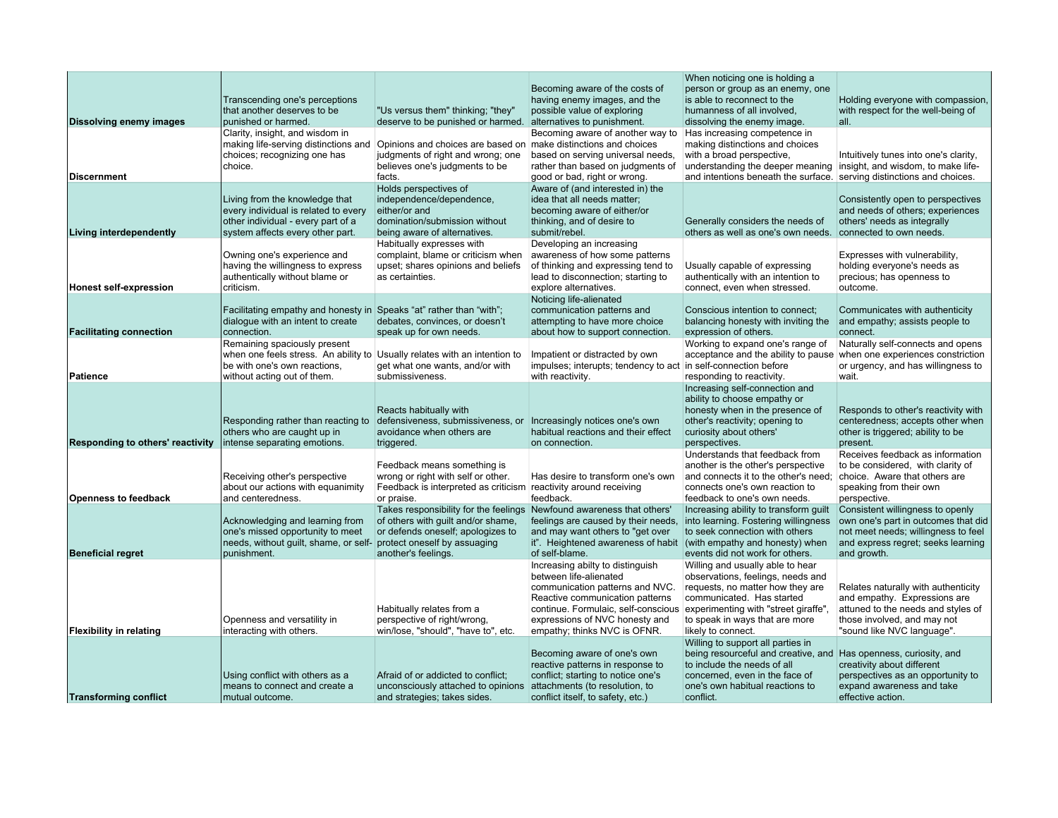| Dissolving enemy images                                    | Transcending one's perceptions<br>that another deserves to be<br>punished or harmed.                                                                                     | "Us versus them" thinking; "they"<br>deserve to be punished or harmed.                                                                                                           | Becoming aware of the costs of<br>having enemy images, and the<br>possible value of exploring<br>alternatives to punishment.                                                                                                                                | When noticing one is holding a<br>person or group as an enemy, one<br>is able to reconnect to the<br>humanness of all involved.<br>dissolving the enemy image.                                                                                                            | Holding everyone with compassion,<br>with respect for the well-being of<br>all.                                                                                                       |
|------------------------------------------------------------|--------------------------------------------------------------------------------------------------------------------------------------------------------------------------|----------------------------------------------------------------------------------------------------------------------------------------------------------------------------------|-------------------------------------------------------------------------------------------------------------------------------------------------------------------------------------------------------------------------------------------------------------|---------------------------------------------------------------------------------------------------------------------------------------------------------------------------------------------------------------------------------------------------------------------------|---------------------------------------------------------------------------------------------------------------------------------------------------------------------------------------|
| <b>Discernment</b>                                         | Clarity, insight, and wisdom in<br>making life-serving distinctions and<br>choices; recognizing one has<br>choice.                                                       | Opinions and choices are based on make distinctions and choices<br>judgments of right and wrong; one<br>believes one's judgments to be<br>facts.                                 | Becoming aware of another way to<br>based on serving universal needs,<br>rather than based on judgments of<br>good or bad, right or wrong.                                                                                                                  | Has increasing competence in<br>making distinctions and choices<br>with a broad perspective,<br>understanding the deeper meaning insight, and wisdom, to make life-<br>and intentions beneath the surface. serving distinctions and choices.                              | Intuitively tunes into one's clarity,                                                                                                                                                 |
| <b>Living interdependently</b>                             | Living from the knowledge that<br>every individual is related to every<br>other individual - every part of a<br>system affects every other part.                         | Holds perspectives of<br>independence/dependence,<br>either/or and<br>domination/submission without<br>being aware of alternatives.                                              | Aware of (and interested in) the<br>idea that all needs matter;<br>becoming aware of either/or<br>thinking, and of desire to<br>submit/rebel.                                                                                                               | Generally considers the needs of<br>others as well as one's own needs.                                                                                                                                                                                                    | Consistently open to perspectives<br>and needs of others; experiences<br>others' needs as integrally<br>connected to own needs.                                                       |
| <b>Honest self-expression</b>                              | Owning one's experience and<br>having the willingness to express<br>authentically without blame or<br>criticism.                                                         | Habitually expresses with<br>complaint, blame or criticism when<br>upset; shares opinions and beliefs<br>as certainties.                                                         | Developing an increasing<br>awareness of how some patterns<br>of thinking and expressing tend to<br>lead to disconnection; starting to<br>explore alternatives.                                                                                             | Usually capable of expressing<br>authentically with an intention to<br>connect, even when stressed.                                                                                                                                                                       | Expresses with vulnerability,<br>holding everyone's needs as<br>precious; has openness to<br>outcome.                                                                                 |
| <b>Facilitating connection</b>                             | Facilitating empathy and honesty in Speaks "at" rather than "with";<br>dialogue with an intent to create<br>connection.                                                  | debates, convinces, or doesn't<br>speak up for own needs.                                                                                                                        | Noticing life-alienated<br>communication patterns and<br>attempting to have more choice<br>about how to support connection.                                                                                                                                 | Conscious intention to connect;<br>balancing honesty with inviting the and empathy; assists people to<br>expression of others.                                                                                                                                            | Communicates with authenticity<br>connect.                                                                                                                                            |
| <b>Patience</b>                                            | Remaining spaciously present<br>when one feels stress. An ability to Usually relates with an intention to<br>be with one's own reactions,<br>without acting out of them. | get what one wants, and/or with<br>submissiveness.                                                                                                                               | Impatient or distracted by own<br>impulses; interupts; tendency to act in self-connection before<br>with reactivity.                                                                                                                                        | Working to expand one's range of<br>acceptance and the ability to pause when one experiences constriction<br>responding to reactivity.                                                                                                                                    | Naturally self-connects and opens<br>or urgency, and has willingness to<br>wait.                                                                                                      |
| Responding to others' reactivity                           | Responding rather than reacting to<br>others who are caught up in<br>intense separating emotions.                                                                        | Reacts habitually with<br>defensiveness, submissiveness, or<br>avoidance when others are<br>triggered.                                                                           | Increasingly notices one's own<br>habitual reactions and their effect<br>on connection.                                                                                                                                                                     | Increasing self-connection and<br>ability to choose empathy or<br>honesty when in the presence of<br>other's reactivity; opening to<br>curiosity about others'<br>perspectives.                                                                                           | Responds to other's reactivity with<br>centeredness; accepts other when<br>other is triggered; ability to be<br>present.                                                              |
| <b>Openness to feedback</b>                                | Receiving other's perspective<br>about our actions with equanimity<br>and centeredness.                                                                                  | Feedback means something is<br>wrong or right with self or other.<br>Feedback is interpreted as criticism reactivity around receiving<br>or praise.                              | Has desire to transform one's own<br>feedback.                                                                                                                                                                                                              | Understands that feedback from<br>another is the other's perspective<br>and connects it to the other's need:<br>connects one's own reaction to<br>feedback to one's own needs.                                                                                            | Receives feedback as information<br>to be considered, with clarity of<br>choice. Aware that others are<br>speaking from their own<br>perspective.                                     |
|                                                            | Acknowledging and learning from<br>one's missed opportunity to meet<br>needs, without guilt, shame, or self-                                                             | Takes responsibility for the feelings Newfound awareness that others'<br>of others with quilt and/or shame,<br>or defends oneself; apologizes to<br>protect oneself by assuaging | feelings are caused by their needs.<br>and may want others to "get over<br>it". Heightened awareness of habit                                                                                                                                               | Increasing ability to transform guilt<br>into learning. Fostering willingness<br>to seek connection with others<br>(with empathy and honesty) when                                                                                                                        | Consistent willingness to openly<br>own one's part in outcomes that did<br>not meet needs; willingness to feel<br>and express regret; seeks learning                                  |
| <b>Beneficial regret</b><br><b>Flexibility in relating</b> | punishment.<br>Openness and versatility in<br>interacting with others.                                                                                                   | another's feelings.<br>Habitually relates from a<br>perspective of right/wrong,<br>win/lose, "should", "have to", etc.                                                           | of self-blame.<br>Increasing abilty to distinguish<br>between life-alienated<br>communication patterns and NVC.<br>Reactive communication patterns<br>continue. Formulaic, self-conscious<br>expressions of NVC honesty and<br>empathy; thinks NVC is OFNR. | events did not work for others.<br>Willing and usually able to hear<br>observations, feelings, needs and<br>requests, no matter how they are<br>communicated. Has started<br>experimenting with "street giraffe",<br>to speak in ways that are more<br>likely to connect. | and growth.<br>Relates naturally with authenticity<br>and empathy. Expressions are<br>attuned to the needs and styles of<br>those involved, and may not<br>"sound like NVC language". |
| <b>Transforming conflict</b>                               | Using conflict with others as a<br>means to connect and create a<br>mutual outcome.                                                                                      | Afraid of or addicted to conflict;<br>unconsciously attached to opinions<br>and strategies; takes sides.                                                                         | Becoming aware of one's own<br>reactive patterns in response to<br>conflict; starting to notice one's<br>attachments (to resolution, to<br>conflict itself, to safety, etc.)                                                                                | Willing to support all parties in<br>being resourceful and creative, and<br>to include the needs of all<br>concerned, even in the face of<br>one's own habitual reactions to<br>conflict.                                                                                 | Has openness, curiosity, and<br>creativity about different<br>perspectives as an opportunity to<br>expand awareness and take<br>effective action.                                     |